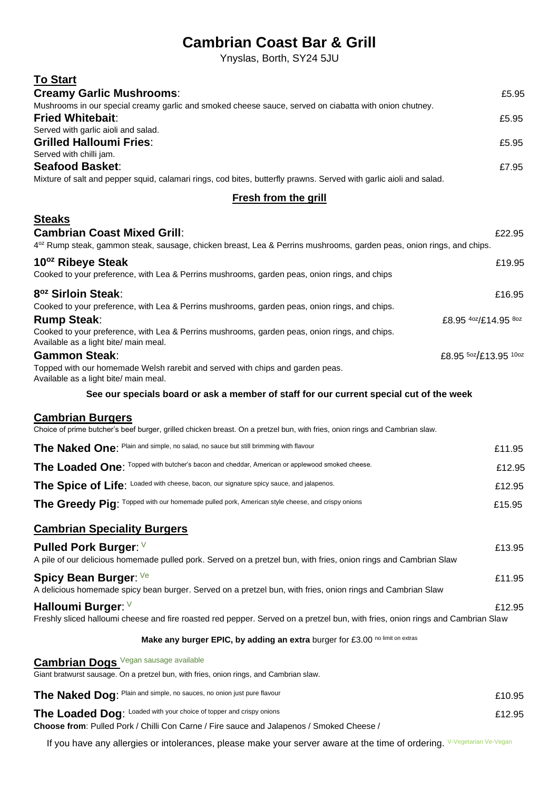# **Cambrian Coast Bar & Grill**

Ynyslas, Borth, SY24 5JU

| <b>To Start</b>                                                                                                                                                        |                       |  |
|------------------------------------------------------------------------------------------------------------------------------------------------------------------------|-----------------------|--|
| <b>Creamy Garlic Mushrooms:</b><br>Mushrooms in our special creamy garlic and smoked cheese sauce, served on ciabatta with onion chutney.                              | £5.95                 |  |
| <b>Fried Whitebait:</b>                                                                                                                                                | £5.95                 |  |
| Served with garlic aioli and salad.                                                                                                                                    |                       |  |
| <b>Grilled Halloumi Fries:</b><br>Served with chilli jam.                                                                                                              | £5.95                 |  |
| <b>Seafood Basket:</b>                                                                                                                                                 | £7.95                 |  |
| Mixture of salt and pepper squid, calamari rings, cod bites, butterfly prawns. Served with garlic aioli and salad.                                                     |                       |  |
| <b>Fresh from the grill</b>                                                                                                                                            |                       |  |
| <b>Steaks</b>                                                                                                                                                          |                       |  |
| <b>Cambrian Coast Mixed Grill:</b><br>4 <sup>oz</sup> Rump steak, gammon steak, sausage, chicken breast, Lea & Perrins mushrooms, garden peas, onion rings, and chips. | £22.95                |  |
| 10 <sup>oz</sup> Ribeye Steak                                                                                                                                          | £19.95                |  |
| Cooked to your preference, with Lea & Perrins mushrooms, garden peas, onion rings, and chips                                                                           |                       |  |
| 8 <sup>oz</sup> Sirloin Steak:                                                                                                                                         | £16.95                |  |
| Cooked to your preference, with Lea & Perrins mushrooms, garden peas, onion rings, and chips.<br><b>Rump Steak:</b>                                                    | £8.95 4oz/£14.95 8oz  |  |
| Cooked to your preference, with Lea & Perrins mushrooms, garden peas, onion rings, and chips.<br>Available as a light bite/ main meal.                                 |                       |  |
| <b>Gammon Steak:</b>                                                                                                                                                   | £8.95 50z/£13.95 10oz |  |
| Topped with our homemade Welsh rarebit and served with chips and garden peas.<br>Available as a light bite/ main meal.                                                 |                       |  |
| See our specials board or ask a member of staff for our current special cut of the week                                                                                |                       |  |
| <b>Cambrian Burgers</b><br>Choice of prime butcher's beef burger, grilled chicken breast. On a pretzel bun, with fries, onion rings and Cambrian slaw.                 |                       |  |
| The Naked One: Plain and simple, no salad, no sauce but still brimming with flavour                                                                                    | £11.95                |  |
| The Loaded One: Topped with butcher's bacon and cheddar, American or applewood smoked cheese.                                                                          | £12.95                |  |
| The Spice of Life: Loaded with cheese, bacon, our signature spicy sauce, and jalapenos.                                                                                | £12.95                |  |
| The Greedy Pig: Topped with our homemade pulled pork, American style cheese, and crispy onions                                                                         | £15.95                |  |
| <b>Cambrian Speciality Burgers</b>                                                                                                                                     |                       |  |
| <b>Pulled Pork Burger:</b> V                                                                                                                                           | £13.95                |  |
| A pile of our delicious homemade pulled pork. Served on a pretzel bun, with fries, onion rings and Cambrian Slaw                                                       |                       |  |
| Spicy Bean Burger: Ve                                                                                                                                                  | £11.95                |  |
| A delicious homemade spicy bean burger. Served on a pretzel bun, with fries, onion rings and Cambrian Slaw                                                             |                       |  |
| Halloumi Burger: V<br>Freshly sliced halloumi cheese and fire roasted red pepper. Served on a pretzel bun, with fries, onion rings and Cambrian Slaw                   | £12.95                |  |
| Make any burger EPIC, by adding an extra burger for £3.00 no limit on extras                                                                                           |                       |  |
| <b>Cambrian Dogs</b> Vegan sausage available                                                                                                                           |                       |  |
| Giant bratwurst sausage. On a pretzel bun, with fries, onion rings, and Cambrian slaw.                                                                                 |                       |  |
| The Naked Dog: Plain and simple, no sauces, no onion just pure flavour                                                                                                 | £10.95                |  |
| The Loaded Dog: Loaded with your choice of topper and crispy onions                                                                                                    | £12.95                |  |
| Choose from: Pulled Pork / Chilli Con Carne / Fire sauce and Jalapenos / Smoked Cheese /                                                                               |                       |  |

If you have any allergies or intolerances, please make your server aware at the time of ordering. V-Vegetarian Ve-Vegan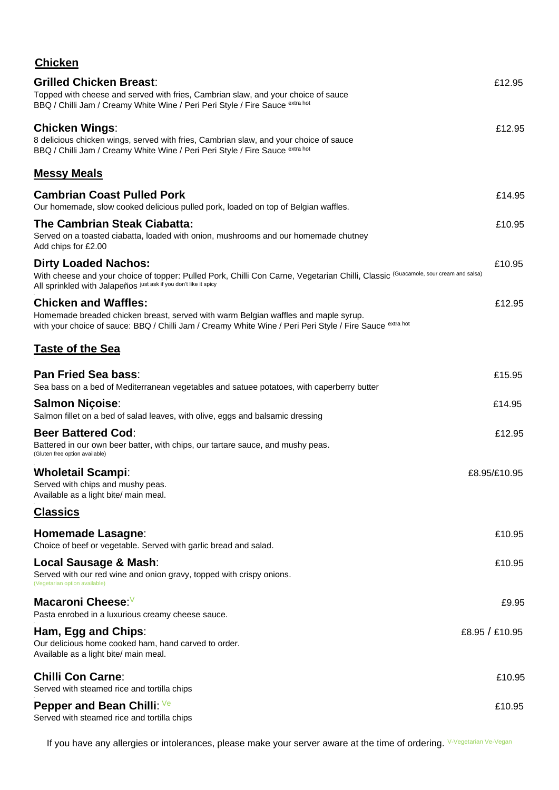| <b>Chicken</b>                                                                                                                                                                                                                                   |                |
|--------------------------------------------------------------------------------------------------------------------------------------------------------------------------------------------------------------------------------------------------|----------------|
| <b>Grilled Chicken Breast:</b><br>Topped with cheese and served with fries, Cambrian slaw, and your choice of sauce                                                                                                                              | £12.95         |
| BBQ / Chilli Jam / Creamy White Wine / Peri Peri Style / Fire Sauce <sup>extra hot</sup>                                                                                                                                                         |                |
| Chicken Wings:<br>8 delicious chicken wings, served with fries, Cambrian slaw, and your choice of sauce<br>BBQ / Chilli Jam / Creamy White Wine / Peri Peri Style / Fire Sauce <sup>extra hot</sup>                                              | £12.95         |
| <b>Messy Meals</b>                                                                                                                                                                                                                               |                |
| <b>Cambrian Coast Pulled Pork</b><br>Our homemade, slow cooked delicious pulled pork, loaded on top of Belgian waffles.                                                                                                                          | £14.95         |
| The Cambrian Steak Ciabatta:<br>Served on a toasted ciabatta, loaded with onion, mushrooms and our homemade chutney<br>Add chips for £2.00                                                                                                       | £10.95         |
| <b>Dirty Loaded Nachos:</b><br>With cheese and your choice of topper: Pulled Pork, Chilli Con Carne, Vegetarian Chilli, Classic <sup>(Guacamole, sour cream and salsa)</sup><br>All sprinkled with Jalapeños just ask if you don't like it spicy | £10.95         |
| <b>Chicken and Waffles:</b><br>Homemade breaded chicken breast, served with warm Belgian waffles and maple syrup.<br>with your choice of sauce: BBQ / Chilli Jam / Creamy White Wine / Peri Peri Style / Fire Sauce <sup>extra hot</sup>         | £12.95         |
| <u>Taste of the Sea</u>                                                                                                                                                                                                                          |                |
| Pan Fried Sea bass:<br>Sea bass on a bed of Mediterranean vegetables and satuee potatoes, with caperberry butter                                                                                                                                 | £15.95         |
| Salmon Niçoise:<br>Salmon fillet on a bed of salad leaves, with olive, eggs and balsamic dressing                                                                                                                                                | £14.95         |
| <b>Beer Battered Cod:</b><br>Battered in our own beer batter, with chips, our tartare sauce, and mushy peas.<br>(Gluten free option available)                                                                                                   | £12.95         |
| <b>Wholetail Scampi:</b><br>Served with chips and mushy peas.<br>Available as a light bite/ main meal.                                                                                                                                           | £8.95/£10.95   |
| <u>Classics</u>                                                                                                                                                                                                                                  |                |
| Homemade Lasagne:<br>Choice of beef or vegetable. Served with garlic bread and salad.                                                                                                                                                            | £10.95         |
| Local Sausage & Mash:<br>Served with our red wine and onion gravy, topped with crispy onions.<br>(Vegetarian option available)                                                                                                                   | £10.95         |
| Macaroni Cheese: <sup>∨</sup><br>Pasta enrobed in a luxurious creamy cheese sauce.                                                                                                                                                               | £9.95          |
| Ham, Egg and Chips:<br>Our delicious home cooked ham, hand carved to order.<br>Available as a light bite/ main meal.                                                                                                                             | £8.95 / £10.95 |
| <b>Chilli Con Carne:</b><br>Served with steamed rice and tortilla chips                                                                                                                                                                          | £10.95         |
| Pepper and Bean Chilli: Ve<br>Served with steamed rice and tortilla chips                                                                                                                                                                        | £10.95         |

If you have any allergies or intolerances, please make your server aware at the time of ordering. V-Vegetarian Ve-Vegan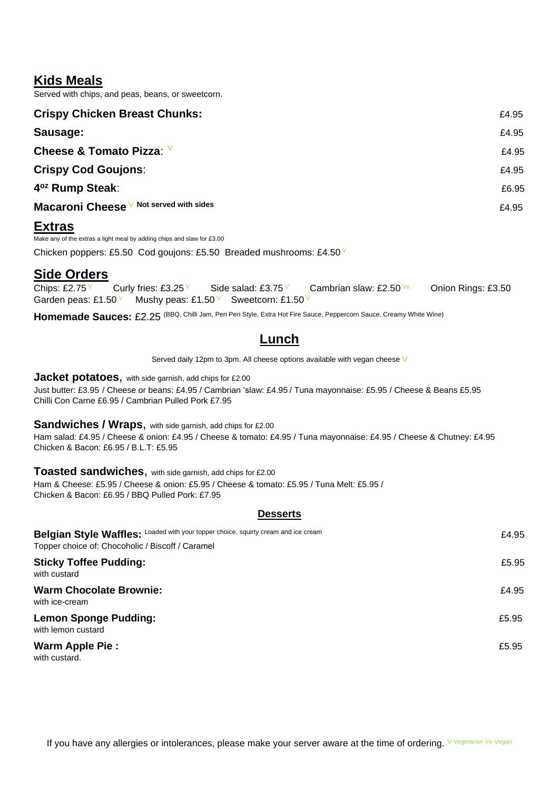## **Kids Meals**

Served with chips, and peas, beans, or sweetcorn.

| <b>Crispy Chicken Breast Chunks:</b>    | £4.95 |
|-----------------------------------------|-------|
| Sausage:                                | £4.95 |
| Cheese & Tomato Pizza: V                | £4.95 |
| <b>Crispy Cod Goujons:</b>              | £4.95 |
| 4 <sup>oz</sup> Rump Steak:             | £6.95 |
| Macaroni Cheese V Not served with sides | £4.95 |
|                                         |       |

## **Extras**

Make any of the extras a light meal by adding chips and slaw for £3.00 Chicken poppers: £5.50 Cod goujons: £5.50 Breaded mushrooms: £4.50  $\vee$ 

# **Side Orders**

Chips: £2.75 V Curly fries: £3.25 V Side salad: £3.75 V Cambrian slaw: £2.50 $Ve$  Onion Rings: £3.50 Garden peas: £1.50  $\text{V}$  Mushy peas: £1.50  $\text{V}$  Sweetcorn: £1.50  $\text{V}$ 

Homemade Sauces: £2.25 (BBQ, Chilli Jam, Peri Peri Style, Extra Hot Fire Sauce, Peppercorn Sauce, Creamy White Wine)

## **Lunch**

Served daily 12pm to 3pm. All cheese options available with vegan cheese V

**Jacket potatoes,** with side garnish, add chips for £2.00

Just butter: £3.95 / Cheese or beans: £4.95 / Cambrian 'slaw: £4.95 / Tuna mayonnaise: £5.95 / Cheese & Beans £5.95 Chilli Con Carne £6.95 / Cambrian Pulled Pork £7.95

### **Sandwiches / Wraps**, with side garnish, add chips for £2.00

Ham salad: £4.95 / Cheese & onion: £4.95 / Cheese & tomato: £4.95 / Tuna mayonnaise: £4.95 / Cheese & Chutney: £4.95 Chicken & Bacon: £6.95 / B.L.T: £5.95

## **Toasted sandwiches**, with side garnish, add chips for £2.00

Ham & Cheese: £5.95 / Cheese & onion: £5.95 / Cheese & tomato: £5.95 / Tuna Melt: £5.95 / Chicken & Bacon: £6.95 / BBQ Pulled Pork: £7.95

### **Desserts**

| Belgian Style Waffles: Loaded with your topper choice, squirty cream and ice cream<br>Topper choice of: Chocoholic / Biscoff / Caramel | £4.95 |
|----------------------------------------------------------------------------------------------------------------------------------------|-------|
| <b>Sticky Toffee Pudding:</b><br>with custard                                                                                          | £5.95 |
| <b>Warm Chocolate Brownie:</b><br>with ice-cream                                                                                       | £4.95 |
| <b>Lemon Sponge Pudding:</b><br>with lemon custard                                                                                     | £5.95 |
| Warm Apple Pie:<br>with custard.                                                                                                       | £5.95 |